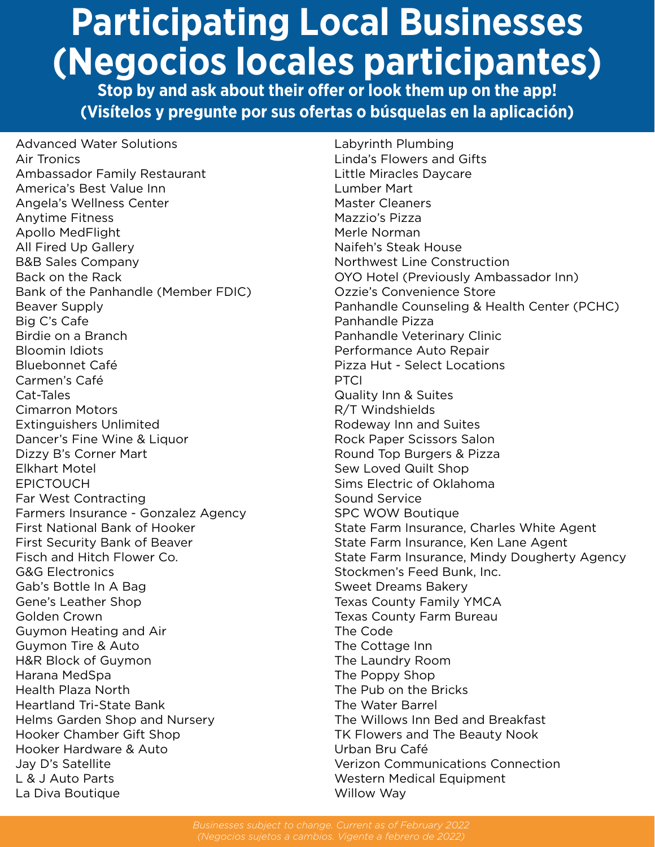## **Participating Local Businesses (Negocios locales participantes)**

**Stop by and ask about their offer or look them up on the app! (Visítelos y pregunte por sus ofertas o búsquelas en la aplicación)**

Advanced Water Solutions Air Tronics Ambassador Family Restaurant America's Best Value Inn Angela's Wellness Center Anytime Fitness Apollo MedFlight All Fired Up Gallery B&B Sales Company Back on the Rack Bank of the Panhandle (Member FDIC) Beaver Supply Big C's Cafe Birdie on a Branch Bloomin Idiots Bluebonnet Café Carmen's Café Cat-Tales Cimarron Motors Extinguishers Unlimited Dancer's Fine Wine & Liquor Dizzy B's Corner Mart Elkhart Motel EPICTOUCH Far West Contracting Farmers Insurance - Gonzalez Agency First National Bank of Hooker First Security Bank of Beaver Fisch and Hitch Flower Co. G&G Electronics Gab's Bottle In A Bag Gene's Leather Shop Golden Crown Guymon Heating and Air Guymon Tire & Auto H&R Block of Guymon Harana MedSpa Health Plaza North Heartland Tri-State Bank Helms Garden Shop and Nursery Hooker Chamber Gift Shop Hooker Hardware & Auto Jay D's Satellite L & J Auto Parts La Diva Boutique

Labyrinth Plumbing Linda's Flowers and Gifts Little Miracles Daycare Lumber Mart Master Cleaners Mazzio's Pizza Merle Norman Naifeh's Steak House Northwest Line Construction OYO Hotel (Previously Ambassador Inn) Ozzie's Convenience Store Panhandle Counseling & Health Center (PCHC) Panhandle Pizza Panhandle Veterinary Clinic Performance Auto Repair Pizza Hut - Select Locations PTCI Quality Inn & Suites R/T Windshields Rodeway Inn and Suites Rock Paper Scissors Salon Round Top Burgers & Pizza Sew Loved Quilt Shop Sims Electric of Oklahoma Sound Service SPC WOW Boutique State Farm Insurance, Charles White Agent State Farm Insurance, Ken Lane Agent State Farm Insurance, Mindy Dougherty Agency Stockmen's Feed Bunk, Inc. Sweet Dreams Bakery Texas County Family YMCA Texas County Farm Bureau The Code The Cottage Inn The Laundry Room The Poppy Shop The Pub on the Bricks The Water Barrel The Willows Inn Bed and Breakfast TK Flowers and The Beauty Nook Urban Bru Café Verizon Communications Connection Western Medical Equipment Willow Way